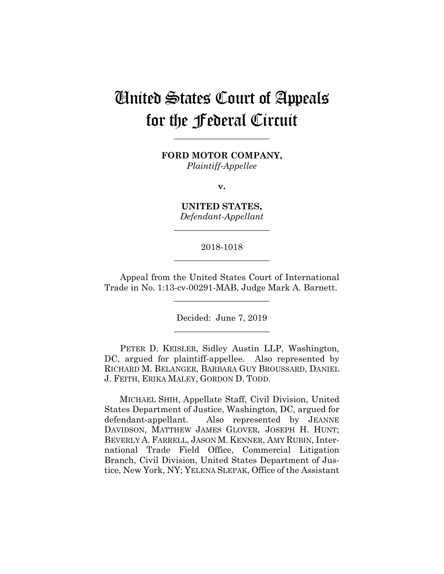# United States Court of Appeals for the Federal Circuit

**FORD MOTOR COMPANY,** *Plaintiff-Appellee*

**\_\_\_\_\_\_\_\_\_\_\_\_\_\_\_\_\_\_\_\_\_\_**

**v.**

**UNITED STATES,** *Defendant-Appellant*

**\_\_\_\_\_\_\_\_\_\_\_\_\_\_\_\_\_\_\_\_\_\_**

## 2018-1018 **\_\_\_\_\_\_\_\_\_\_\_\_\_\_\_\_\_\_\_\_\_\_**

Appeal from the United States Court of International Trade in No. 1:13-cv-00291-MAB, Judge Mark A. Barnett.

**\_\_\_\_\_\_\_\_\_\_\_\_\_\_\_\_\_\_\_\_\_\_**

Decided: June 7, 2019 **\_\_\_\_\_\_\_\_\_\_\_\_\_\_\_\_\_\_\_\_\_\_**

PETER D. KEISLER, Sidley Austin LLP, Washington, DC, argued for plaintiff-appellee. Also represented by RICHARD M. BELANGER, BARBARA GUY BROUSSARD, DANIEL J. FEITH, ERIKA MALEY, GORDON D. TODD.

 MICHAEL SHIH, Appellate Staff, Civil Division, United States Department of Justice, Washington, DC, argued for defendant-appellant. Also represented by JEANNE DAVIDSON, MATTHEW JAMES GLOVER, JOSEPH H. HUNT; BEVERLY A. FARRELL, JASON M. KENNER, AMY RUBIN, International Trade Field Office, Commercial Litigation Branch, Civil Division, United States Department of Justice, New York, NY; YELENA SLEPAK, Office of the Assistant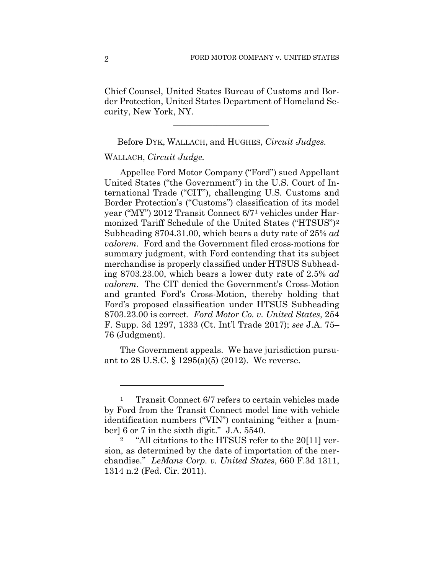Chief Counsel, United States Bureau of Customs and Border Protection, United States Department of Homeland Security, New York, NY.

Before DYK, WALLACH, and HUGHES, *Circuit Judges.*

 $\mathcal{L}_\text{max}$  and  $\mathcal{L}_\text{max}$  and  $\mathcal{L}_\text{max}$  and  $\mathcal{L}_\text{max}$ 

## WALLACH, *Circuit Judge.*

Appellee Ford Motor Company ("Ford") sued Appellant United States ("the Government") in the U.S. Court of International Trade ("CIT"), challenging U.S. Customs and Border Protection's ("Customs") classification of its model year ("MY") 2012 Transit Connect 6/71 vehicles under Harmonized Tariff Schedule of the United States ("HTSUS")2 Subheading 8704.31.00, which bears a duty rate of 25% *ad valorem*. Ford and the Government filed cross-motions for summary judgment, with Ford contending that its subject merchandise is properly classified under HTSUS Subheading 8703.23.00, which bears a lower duty rate of 2.5% *ad valorem*. The CIT denied the Government's Cross-Motion and granted Ford's Cross-Motion, thereby holding that Ford's proposed classification under HTSUS Subheading 8703.23.00 is correct. *Ford Motor Co. v. United States*, 254 F. Supp. 3d 1297, 1333 (Ct. Int'l Trade 2017); *see* J.A. 75– 76 (Judgment).

The Government appeals. We have jurisdiction pursuant to 28 U.S.C. § 1295(a)(5) (2012). We reverse.

<sup>&</sup>lt;sup>1</sup> Transit Connect 6/7 refers to certain vehicles made by Ford from the Transit Connect model line with vehicle identification numbers ("VIN") containing "either a [number] 6 or 7 in the sixth digit." J.A. 5540.

<sup>&</sup>quot;All citations to the HTSUS refer to the 20[11] version, as determined by the date of importation of the merchandise." *LeMans Corp. v. United States*, 660 F.3d 1311, 1314 n.2 (Fed. Cir. 2011).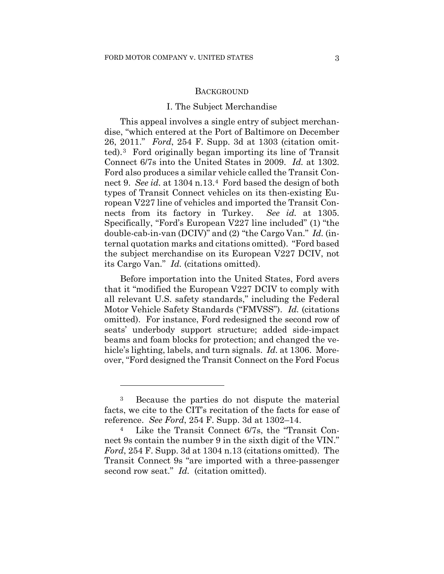## **BACKGROUND**

## I. The Subject Merchandise

This appeal involves a single entry of subject merchandise, "which entered at the Port of Baltimore on December 26, 2011." *Ford*, 254 F. Supp. 3d at 1303 (citation omitted).3 Ford originally began importing its line of Transit Connect 6/7s into the United States in 2009. *Id.* at 1302. Ford also produces a similar vehicle called the Transit Connect 9. *See id.* at 1304 n.13.4 Ford based the design of both types of Transit Connect vehicles on its then-existing European V227 line of vehicles and imported the Transit Connects from its factory in Turkey. *See id.* at 1305. Specifically, "Ford's European V227 line included" (1) "the double-cab-in-van (DCIV)" and (2) "the Cargo Van." *Id.* (internal quotation marks and citations omitted). "Ford based the subject merchandise on its European V227 DCIV, not its Cargo Van." *Id.* (citations omitted).

Before importation into the United States, Ford avers that it "modified the European V227 DCIV to comply with all relevant U.S. safety standards," including the Federal Motor Vehicle Safety Standards ("FMVSS"). *Id.* (citations omitted). For instance, Ford redesigned the second row of seats' underbody support structure; added side-impact beams and foam blocks for protection; and changed the vehicle's lighting, labels, and turn signals. *Id.* at 1306. Moreover, "Ford designed the Transit Connect on the Ford Focus

<sup>3</sup> Because the parties do not dispute the material facts, we cite to the CIT's recitation of the facts for ease of reference. *See Ford*, 254 F. Supp. 3d at 1302–14.

<sup>4</sup> Like the Transit Connect 6/7s, the "Transit Connect 9s contain the number 9 in the sixth digit of the VIN." *Ford*, 254 F. Supp. 3d at 1304 n.13 (citations omitted). The Transit Connect 9s "are imported with a three-passenger second row seat." *Id.* (citation omitted).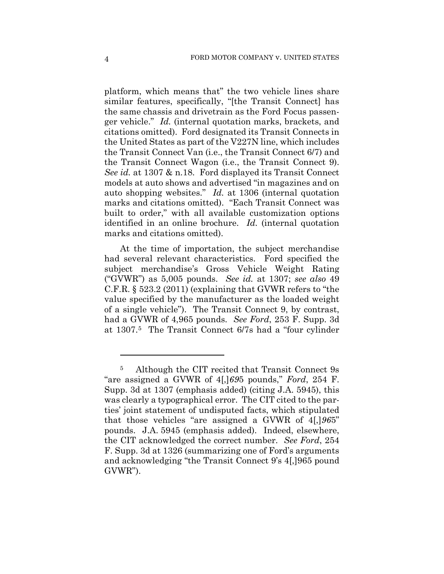platform, which means that" the two vehicle lines share similar features, specifically, "[the Transit Connect] has the same chassis and drivetrain as the Ford Focus passenger vehicle." *Id.* (internal quotation marks, brackets, and citations omitted). Ford designated its Transit Connects in the United States as part of the V227N line, which includes the Transit Connect Van (i.e., the Transit Connect 6/7) and the Transit Connect Wagon (i.e., the Transit Connect 9). *See id.* at 1307 & n.18. Ford displayed its Transit Connect models at auto shows and advertised "in magazines and on auto shopping websites." *Id.* at 1306 (internal quotation marks and citations omitted). "Each Transit Connect was built to order," with all available customization options identified in an online brochure. *Id.* (internal quotation marks and citations omitted).

At the time of importation, the subject merchandise had several relevant characteristics. Ford specified the subject merchandise's Gross Vehicle Weight Rating ("GVWR") as 5,005 pounds. *See id.* at 1307; *see also* 49 C.F.R. § 523.2 (2011) (explaining that GVWR refers to "the value specified by the manufacturer as the loaded weight of a single vehicle"). The Transit Connect 9, by contrast, had a GVWR of 4,965 pounds. *See Ford*, 253 F. Supp. 3d at 1307.5 The Transit Connect 6/7s had a "four cylinder

<sup>5</sup> Although the CIT recited that Transit Connect 9s "are assigned a GVWR of 4[,]*69*5 pounds," *Ford*, 254 F. Supp. 3d at 1307 (emphasis added) (citing J.A. 5945), this was clearly a typographical error. The CIT cited to the parties' joint statement of undisputed facts, which stipulated that those vehicles "are assigned a GVWR of 4[,]*96*5" pounds. J.A. 5945 (emphasis added). Indeed, elsewhere, the CIT acknowledged the correct number. *See Ford*, 254 F. Supp. 3d at 1326 (summarizing one of Ford's arguments and acknowledging "the Transit Connect 9's 4[,]965 pound GVWR").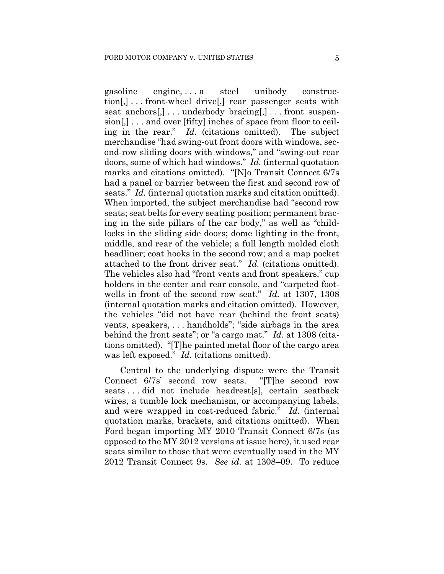gasoline engine, . . . a steel unibody construction[,] . . . front-wheel drive[,] rear passenger seats with seat anchors[,] . . . underbody bracing[,] . . . front suspension[,] . . . and over [fifty] inches of space from floor to ceiling in the rear." *Id.* (citations omitted). The subject merchandise "had swing-out front doors with windows, second-row sliding doors with windows," and "swing-out rear doors, some of which had windows." *Id.* (internal quotation marks and citations omitted). "[N]o Transit Connect 6/7s had a panel or barrier between the first and second row of seats." *Id.* (internal quotation marks and citation omitted). When imported, the subject merchandise had "second row seats; seat belts for every seating position; permanent bracing in the side pillars of the car body," as well as "childlocks in the sliding side doors; dome lighting in the front, middle, and rear of the vehicle; a full length molded cloth headliner; coat hooks in the second row; and a map pocket attached to the front driver seat." *Id.* (citations omitted). The vehicles also had "front vents and front speakers," cup holders in the center and rear console, and "carpeted footwells in front of the second row seat." *Id.* at 1307, 1308 (internal quotation marks and citation omitted). However, the vehicles "did not have rear (behind the front seats) vents, speakers, . . . handholds"; "side airbags in the area behind the front seats"; or "a cargo mat." *Id.* at 1308 (citations omitted). "[T]he painted metal floor of the cargo area was left exposed." *Id.* (citations omitted).

Central to the underlying dispute were the Transit Connect 6/7s' second row seats. "[T]he second row seats . . . did not include headrest[s], certain seatback wires, a tumble lock mechanism, or accompanying labels, and were wrapped in cost-reduced fabric." *Id.* (internal quotation marks, brackets, and citations omitted). When Ford began importing MY 2010 Transit Connect 6/7s (as opposed to the MY 2012 versions at issue here), it used rear seats similar to those that were eventually used in the MY 2012 Transit Connect 9s. *See id.* at 1308–09. To reduce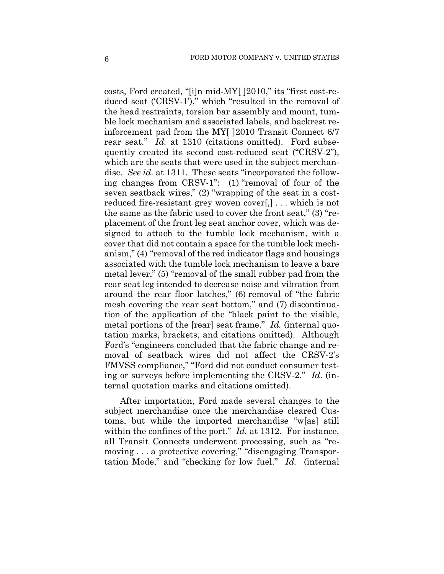costs, Ford created, "[i]n mid-MY[ ]2010," its "first cost-reduced seat ('CRSV-1')," which "resulted in the removal of the head restraints, torsion bar assembly and mount, tumble lock mechanism and associated labels, and backrest reinforcement pad from the MY[ ]2010 Transit Connect 6/7 rear seat." *Id.* at 1310 (citations omitted). Ford subsequently created its second cost-reduced seat ("CRSV-2"), which are the seats that were used in the subject merchandise. *See id.* at 1311. These seats "incorporated the following changes from CRSV-1": (1) "removal of four of the seven seatback wires," (2) "wrapping of the seat in a costreduced fire-resistant grey woven cover[,] . . . which is not the same as the fabric used to cover the front seat," (3) "replacement of the front leg seat anchor cover, which was designed to attach to the tumble lock mechanism, with a cover that did not contain a space for the tumble lock mechanism," (4) "removal of the red indicator flags and housings associated with the tumble lock mechanism to leave a bare metal lever," (5) "removal of the small rubber pad from the rear seat leg intended to decrease noise and vibration from around the rear floor latches," (6) removal of "the fabric mesh covering the rear seat bottom," and (7) discontinuation of the application of the "black paint to the visible, metal portions of the [rear] seat frame." *Id.* (internal quotation marks, brackets, and citations omitted). Although Ford's "engineers concluded that the fabric change and removal of seatback wires did not affect the CRSV-2's FMVSS compliance," "Ford did not conduct consumer testing or surveys before implementing the CRSV-2." *Id.* (internal quotation marks and citations omitted).

After importation, Ford made several changes to the subject merchandise once the merchandise cleared Customs, but while the imported merchandise "w[as] still within the confines of the port." *Id.* at 1312. For instance, all Transit Connects underwent processing, such as "removing . . . a protective covering," "disengaging Transportation Mode," and "checking for low fuel." *Id.* (internal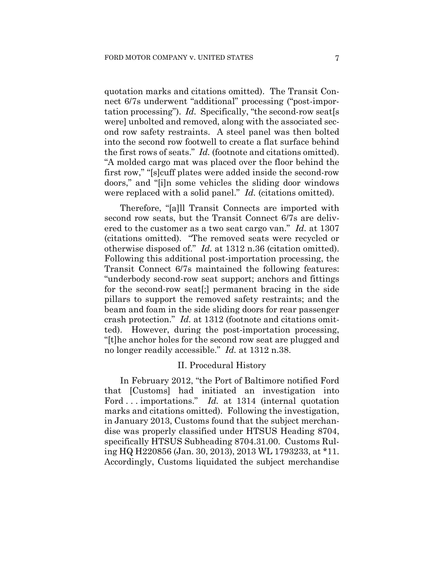quotation marks and citations omitted). The Transit Connect 6/7s underwent "additional" processing ("post-importation processing"). *Id.* Specifically, "the second-row seat[s were] unbolted and removed, along with the associated second row safety restraints. A steel panel was then bolted into the second row footwell to create a flat surface behind the first rows of seats." *Id.* (footnote and citations omitted). "A molded cargo mat was placed over the floor behind the first row," "[s]cuff plates were added inside the second-row doors," and "[i]n some vehicles the sliding door windows were replaced with a solid panel." *Id.* (citations omitted).

Therefore, "[a]ll Transit Connects are imported with second row seats, but the Transit Connect 6/7s are delivered to the customer as a two seat cargo van." *Id.* at 1307 (citations omitted). "The removed seats were recycled or otherwise disposed of." *Id.* at 1312 n.36 (citation omitted). Following this additional post-importation processing, the Transit Connect 6/7s maintained the following features: "underbody second-row seat support; anchors and fittings for the second-row seat[;] permanent bracing in the side pillars to support the removed safety restraints; and the beam and foam in the side sliding doors for rear passenger crash protection." *Id.* at 1312 (footnote and citations omitted). However, during the post-importation processing, "[t]he anchor holes for the second row seat are plugged and no longer readily accessible." *Id.* at 1312 n.38.

## II. Procedural History

In February 2012, "the Port of Baltimore notified Ford that [Customs] had initiated an investigation into Ford . . . importations." *Id.* at 1314 (internal quotation marks and citations omitted). Following the investigation, in January 2013, Customs found that the subject merchandise was properly classified under HTSUS Heading 8704, specifically HTSUS Subheading 8704.31.00. Customs Ruling HQ H220856 (Jan. 30, 2013), 2013 WL 1793233, at \*11. Accordingly, Customs liquidated the subject merchandise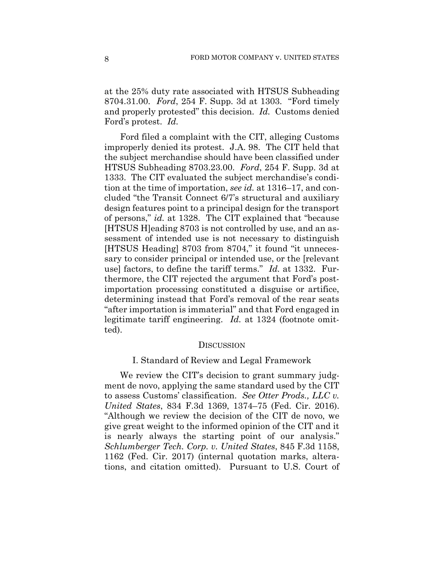at the 25% duty rate associated with HTSUS Subheading 8704.31.00. *Ford*, 254 F. Supp. 3d at 1303. "Ford timely and properly protested" this decision. *Id.* Customs denied Ford's protest. *Id.*

Ford filed a complaint with the CIT, alleging Customs improperly denied its protest. J.A. 98. The CIT held that the subject merchandise should have been classified under HTSUS Subheading 8703.23.00. *Ford*, 254 F. Supp. 3d at 1333. The CIT evaluated the subject merchandise's condition at the time of importation, *see id.* at 1316–17, and concluded "the Transit Connect 6/7's structural and auxiliary design features point to a principal design for the transport of persons," *id.* at 1328. The CIT explained that "because [HTSUS H]eading 8703 is not controlled by use, and an assessment of intended use is not necessary to distinguish [HTSUS Heading] 8703 from 8704," it found "it unnecessary to consider principal or intended use, or the [relevant use] factors, to define the tariff terms." *Id.* at 1332. Furthermore, the CIT rejected the argument that Ford's postimportation processing constituted a disguise or artifice, determining instead that Ford's removal of the rear seats "after importation is immaterial" and that Ford engaged in legitimate tariff engineering. *Id.* at 1324 (footnote omitted).

#### **DISCUSSION**

### I. Standard of Review and Legal Framework

We review the CIT's decision to grant summary judgment de novo, applying the same standard used by the CIT to assess Customs' classification. *See Otter Prods., LLC v. United States*, 834 F.3d 1369, 1374–75 (Fed. Cir. 2016). "Although we review the decision of the CIT de novo, we give great weight to the informed opinion of the CIT and it is nearly always the starting point of our analysis." *Schlumberger Tech. Corp. v. United States*, 845 F.3d 1158, 1162 (Fed. Cir. 2017) (internal quotation marks, alterations, and citation omitted). Pursuant to U.S. Court of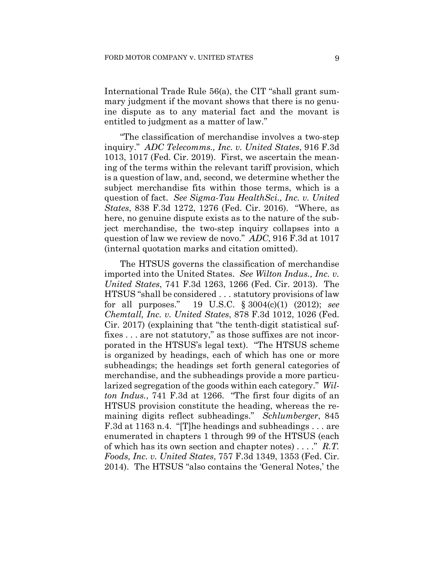International Trade Rule 56(a), the CIT "shall grant summary judgment if the movant shows that there is no genuine dispute as to any material fact and the movant is entitled to judgment as a matter of law."

"The classification of merchandise involves a two-step inquiry." *ADC Telecomms., Inc. v. United States*, 916 F.3d 1013, 1017 (Fed. Cir. 2019). First, we ascertain the meaning of the terms within the relevant tariff provision, which is a question of law, and, second, we determine whether the subject merchandise fits within those terms, which is a question of fact. *See Sigma-Tau HealthSci., Inc. v. United States*, 838 F.3d 1272, 1276 (Fed. Cir. 2016). "Where, as here, no genuine dispute exists as to the nature of the subject merchandise, the two-step inquiry collapses into a question of law we review de novo." *ADC*, 916 F.3d at 1017 (internal quotation marks and citation omitted).

The HTSUS governs the classification of merchandise imported into the United States. *See Wilton Indus., Inc. v. United States*, 741 F.3d 1263, 1266 (Fed. Cir. 2013). The HTSUS "shall be considered . . . statutory provisions of law for all purposes." 19 U.S.C. § 3004(c)(1) (2012); *see Chemtall, Inc. v. United States*, 878 F.3d 1012, 1026 (Fed. Cir. 2017) (explaining that "the tenth-digit statistical suffixes . . . are not statutory," as those suffixes are not incorporated in the HTSUS's legal text). "The HTSUS scheme is organized by headings, each of which has one or more subheadings; the headings set forth general categories of merchandise, and the subheadings provide a more particularized segregation of the goods within each category." *Wilton Indus.*, 741 F.3d at 1266. "The first four digits of an HTSUS provision constitute the heading, whereas the remaining digits reflect subheadings." *Schlumberger*, 845 F.3d at 1163 n.4. "[T]he headings and subheadings . . . are enumerated in chapters 1 through 99 of the HTSUS (each of which has its own section and chapter notes) . . . ." *R.T. Foods, Inc. v. United States*, 757 F.3d 1349, 1353 (Fed. Cir. 2014). The HTSUS "also contains the 'General Notes,' the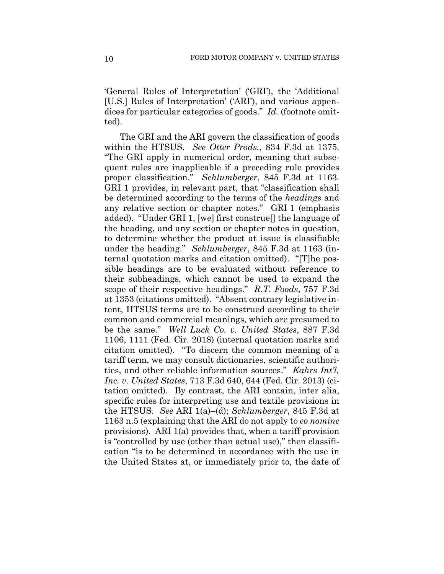'General Rules of Interpretation' ('GRI'), the 'Additional [U.S.] Rules of Interpretation' ('ARI'), and various appendices for particular categories of goods." *Id.* (footnote omitted).

The GRI and the ARI govern the classification of goods within the HTSUS. *See Otter Prods.*, 834 F.3d at 1375. "The GRI apply in numerical order, meaning that subsequent rules are inapplicable if a preceding rule provides proper classification." *Schlumberger*, 845 F.3d at 1163. GRI 1 provides, in relevant part, that "classification shall be determined according to the terms of the *headings* and any relative section or chapter notes." GRI 1 (emphasis added). "Under GRI 1, [we] first construe[] the language of the heading, and any section or chapter notes in question, to determine whether the product at issue is classifiable under the heading." *Schlumberger*, 845 F.3d at 1163 (internal quotation marks and citation omitted). "[T]he possible headings are to be evaluated without reference to their subheadings, which cannot be used to expand the scope of their respective headings." *R.T. Foods*, 757 F.3d at 1353 (citations omitted). "Absent contrary legislative intent, HTSUS terms are to be construed according to their common and commercial meanings, which are presumed to be the same." *Well Luck Co. v. United States*, 887 F.3d 1106, 1111 (Fed. Cir. 2018) (internal quotation marks and citation omitted). "To discern the common meaning of a tariff term, we may consult dictionaries, scientific authorities, and other reliable information sources." *Kahrs Int'l, Inc. v. United States*, 713 F.3d 640, 644 (Fed. Cir. 2013) (citation omitted). By contrast, the ARI contain, inter alia, specific rules for interpreting use and textile provisions in the HTSUS. *See* ARI 1(a)–(d); *Schlumberger*, 845 F.3d at 1163 n.5 (explaining that the ARI do not apply to *eo nomine*  provisions). ARI 1(a) provides that, when a tariff provision is "controlled by use (other than actual use)," then classification "is to be determined in accordance with the use in the United States at, or immediately prior to, the date of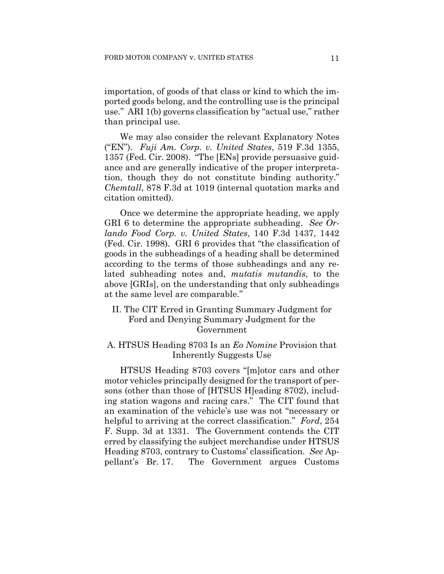importation, of goods of that class or kind to which the imported goods belong, and the controlling use is the principal use." ARI 1(b) governs classification by "actual use," rather than principal use.

We may also consider the relevant Explanatory Notes ("EN"). *Fuji Am. Corp. v. United States*, 519 F.3d 1355, 1357 (Fed. Cir. 2008). "The [ENs] provide persuasive guidance and are generally indicative of the proper interpretation, though they do not constitute binding authority." *Chemtall*, 878 F.3d at 1019 (internal quotation marks and citation omitted).

Once we determine the appropriate heading, we apply GRI 6 to determine the appropriate subheading. *See Orlando Food Corp. v. United States*, 140 F.3d 1437, 1442 (Fed. Cir. 1998). GRI 6 provides that "the classification of goods in the subheadings of a heading shall be determined according to the terms of those subheadings and any related subheading notes and, *mutatis mutandis*, to the above [GRIs], on the understanding that only subheadings at the same level are comparable."

II. The CIT Erred in Granting Summary Judgment for Ford and Denying Summary Judgment for the Government

## A. HTSUS Heading 8703 Is an *Eo Nomine* Provision that Inherently Suggests Use

HTSUS Heading 8703 covers "[m]otor cars and other motor vehicles principally designed for the transport of persons (other than those of [HTSUS H]eading 8702), including station wagons and racing cars." The CIT found that an examination of the vehicle's use was not "necessary or helpful to arriving at the correct classification." *Ford*, 254 F. Supp. 3d at 1331. The Government contends the CIT erred by classifying the subject merchandise under HTSUS Heading 8703, contrary to Customs' classification. *See* Appellant's Br. 17. The Government argues Customs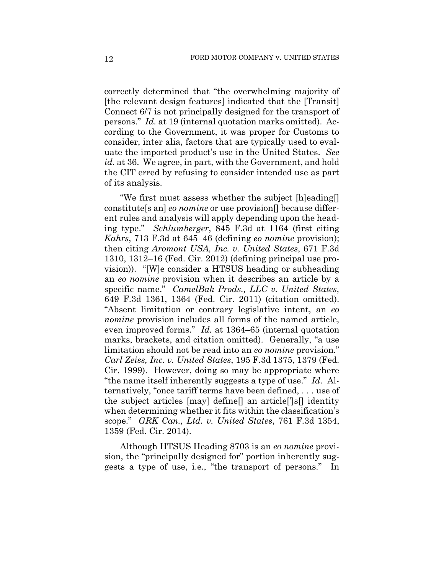correctly determined that "the overwhelming majority of [the relevant design features] indicated that the [Transit] Connect 6/7 is not principally designed for the transport of persons." *Id.* at 19 (internal quotation marks omitted). According to the Government, it was proper for Customs to consider, inter alia, factors that are typically used to evaluate the imported product's use in the United States. *See id.* at 36. We agree, in part, with the Government, and hold the CIT erred by refusing to consider intended use as part of its analysis.

"We first must assess whether the subject [h]eading[] constitute[s an] *eo nomine* or use provision[] because different rules and analysis will apply depending upon the heading type." *Schlumberger*, 845 F.3d at 1164 (first citing *Kahrs*, 713 F.3d at 645–46 (defining *eo nomine* provision); then citing *Aromont USA, Inc. v. United States*, 671 F.3d 1310, 1312–16 (Fed. Cir. 2012) (defining principal use provision)). "[W]e consider a HTSUS heading or subheading an *eo nomine* provision when it describes an article by a specific name." *CamelBak Prods., LLC v. United States*, 649 F.3d 1361, 1364 (Fed. Cir. 2011) (citation omitted). "Absent limitation or contrary legislative intent, an *eo nomine* provision includes all forms of the named article, even improved forms." *Id.* at 1364–65 (internal quotation marks, brackets, and citation omitted). Generally, "a use limitation should not be read into an *eo nomine* provision." *Carl Zeiss, Inc. v. United States*, 195 F.3d 1375, 1379 (Fed. Cir. 1999). However, doing so may be appropriate where "the name itself inherently suggests a type of use." *Id.* Alternatively, "once tariff terms have been defined, . . . use of the subject articles [may] define[] an article[']s[] identity when determining whether it fits within the classification's scope." *GRK Can., Ltd. v. United States*, 761 F.3d 1354, 1359 (Fed. Cir. 2014).

Although HTSUS Heading 8703 is an *eo nomine* provision, the "principally designed for" portion inherently suggests a type of use, i.e., "the transport of persons." In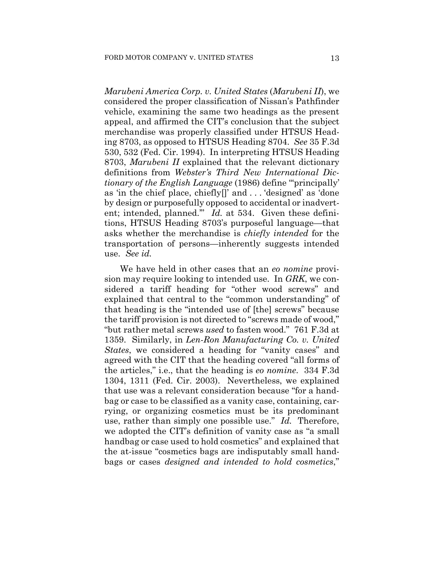*Marubeni America Corp. v. United States* (*Marubeni II*), we considered the proper classification of Nissan's Pathfinder vehicle, examining the same two headings as the present appeal, and affirmed the CIT's conclusion that the subject merchandise was properly classified under HTSUS Heading 8703, as opposed to HTSUS Heading 8704. *See* 35 F.3d 530, 532 (Fed. Cir. 1994). In interpreting HTSUS Heading 8703, *Marubeni II* explained that the relevant dictionary definitions from *Webster's Third New International Dictionary of the English Language* (1986) define ""principally" as 'in the chief place, chiefly[]' and . . . 'designed' as 'done by design or purposefully opposed to accidental or inadvertent; intended, planned.'" *Id.* at 534. Given these definitions, HTSUS Heading 8703's purposeful language—that asks whether the merchandise is *chiefly intended* for the transportation of persons—inherently suggests intended use. *See id.*

We have held in other cases that an *eo nomine* provision may require looking to intended use. In *GRK*, we considered a tariff heading for "other wood screws" and explained that central to the "common understanding" of that heading is the "intended use of [the] screws" because the tariff provision is not directed to "screws made of wood," "but rather metal screws *used* to fasten wood." 761 F.3d at 1359. Similarly, in *Len-Ron Manufacturing Co. v. United States*, we considered a heading for "vanity cases" and agreed with the CIT that the heading covered "all forms of the articles," i.e., that the heading is *eo nomine*. 334 F.3d 1304, 1311 (Fed. Cir. 2003). Nevertheless, we explained that use was a relevant consideration because "for a handbag or case to be classified as a vanity case, containing, carrying, or organizing cosmetics must be its predominant use, rather than simply one possible use." *Id.* Therefore, we adopted the CIT's definition of vanity case as "a small handbag or case used to hold cosmetics" and explained that the at-issue "cosmetics bags are indisputably small handbags or cases *designed and intended to hold cosmetics*,"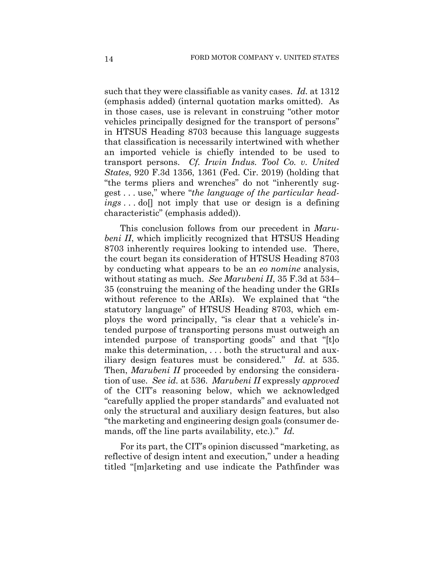such that they were classifiable as vanity cases. *Id.* at 1312 (emphasis added) (internal quotation marks omitted). As in those cases, use is relevant in construing "other motor vehicles principally designed for the transport of persons" in HTSUS Heading 8703 because this language suggests that classification is necessarily intertwined with whether an imported vehicle is chiefly intended to be used to transport persons. *Cf. Irwin Indus. Tool Co. v. United States*, 920 F.3d 1356, 1361 (Fed. Cir. 2019) (holding that "the terms pliers and wrenches" do not "inherently suggest . . . use," where "*the language of the particular headings* . . . do[] not imply that use or design is a defining characteristic" (emphasis added)).

This conclusion follows from our precedent in *Marubeni II*, which implicitly recognized that HTSUS Heading 8703 inherently requires looking to intended use. There, the court began its consideration of HTSUS Heading 8703 by conducting what appears to be an *eo nomine* analysis, without stating as much. *See Marubeni II*, 35 F.3d at 534– 35 (construing the meaning of the heading under the GRIs without reference to the ARIs). We explained that "the statutory language" of HTSUS Heading 8703, which employs the word principally, "is clear that a vehicle's intended purpose of transporting persons must outweigh an intended purpose of transporting goods" and that "[t]o make this determination, . . . both the structural and auxiliary design features must be considered." *Id.* at 535. Then, *Marubeni II* proceeded by endorsing the consideration of use. *See id.* at 536. *Marubeni II* expressly *approved*  of the CIT's reasoning below, which we acknowledged "carefully applied the proper standards" and evaluated not only the structural and auxiliary design features, but also "the marketing and engineering design goals (consumer demands, off the line parts availability, etc.)." *Id.*

For its part, the CIT's opinion discussed "marketing, as reflective of design intent and execution," under a heading titled "[m]arketing and use indicate the Pathfinder was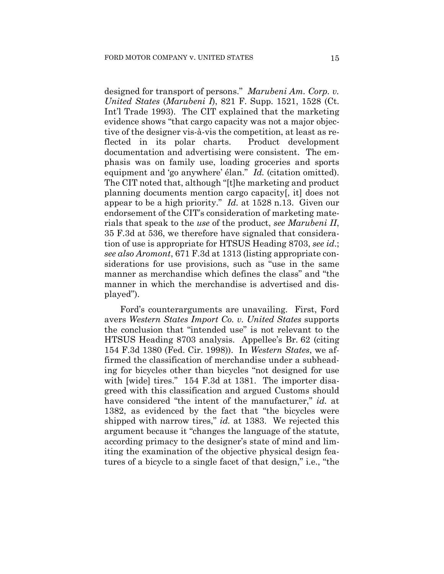designed for transport of persons." *Marubeni Am. Corp. v. United States* (*Marubeni I*), 821 F. Supp. 1521, 1528 (Ct. Int'l Trade 1993). The CIT explained that the marketing evidence shows "that cargo capacity was not a major objective of the designer vis-à-vis the competition, at least as reflected in its polar charts. Product development documentation and advertising were consistent. The emphasis was on family use, loading groceries and sports equipment and 'go anywhere' élan." *Id.* (citation omitted). The CIT noted that, although "[t]he marketing and product planning documents mention cargo capacity[, it] does not appear to be a high priority." *Id.* at 1528 n.13. Given our endorsement of the CIT's consideration of marketing materials that speak to the *use* of the product, *see Marubeni II*, 35 F.3d at 536, we therefore have signaled that consideration of use is appropriate for HTSUS Heading 8703, *see id*.; *see also Aromont*, 671 F.3d at 1313 (listing appropriate considerations for use provisions, such as "use in the same manner as merchandise which defines the class" and "the manner in which the merchandise is advertised and displayed").

Ford's counterarguments are unavailing. First, Ford avers *Western States Import Co. v. United States* supports the conclusion that "intended use" is not relevant to the HTSUS Heading 8703 analysis. Appellee's Br. 62 (citing 154 F.3d 1380 (Fed. Cir. 1998)). In *Western States*, we affirmed the classification of merchandise under a subheading for bicycles other than bicycles "not designed for use with [wide] tires." 154 F.3d at 1381. The importer disagreed with this classification and argued Customs should have considered "the intent of the manufacturer," *id.* at 1382, as evidenced by the fact that "the bicycles were shipped with narrow tires," *id.* at 1383. We rejected this argument because it "changes the language of the statute, according primacy to the designer's state of mind and limiting the examination of the objective physical design features of a bicycle to a single facet of that design," i.e., "the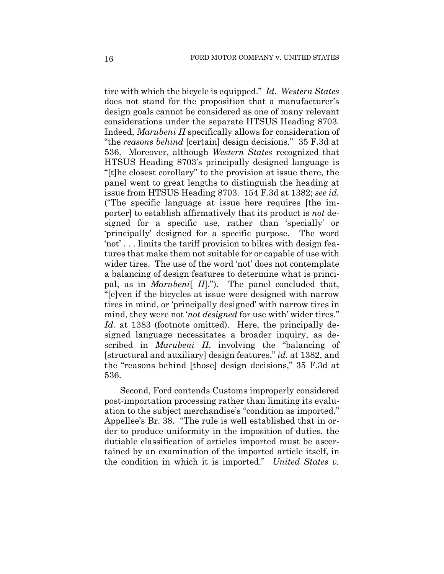tire with which the bicycle is equipped." *Id. Western States* does not stand for the proposition that a manufacturer's design goals cannot be considered as one of many relevant considerations under the separate HTSUS Heading 8703. Indeed, *Marubeni II* specifically allows for consideration of "the *reasons behind* [certain] design decisions." 35 F.3d at 536. Moreover, although *Western States* recognized that HTSUS Heading 8703's principally designed language is "[t]he closest corollary" to the provision at issue there, the panel went to great lengths to distinguish the heading at issue from HTSUS Heading 8703. 154 F.3d at 1382; *see id.* ("The specific language at issue here requires [the importer] to establish affirmatively that its product is *not* designed for a specific use, rather than 'specially' or 'principally' designed for a specific purpose. The word 'not' . . . limits the tariff provision to bikes with design features that make them not suitable for or capable of use with wider tires. The use of the word 'not' does not contemplate a balancing of design features to determine what is principal, as in *Marubeni*[ *II*]."). The panel concluded that, "[e]ven if the bicycles at issue were designed with narrow tires in mind, or 'principally designed' with narrow tires in mind, they were not '*not designed* for use with' wider tires." Id. at 1383 (footnote omitted). Here, the principally designed language necessitates a broader inquiry, as described in *Marubeni II*, involving the "balancing of [structural and auxiliary] design features," *id.* at 1382, and the "reasons behind [those] design decisions," 35 F.3d at 536.

Second, Ford contends Customs improperly considered post-importation processing rather than limiting its evaluation to the subject merchandise's "condition as imported." Appellee's Br. 38. "The rule is well established that in order to produce uniformity in the imposition of duties, the dutiable classification of articles imported must be ascertained by an examination of the imported article itself, in the condition in which it is imported." *United States v.*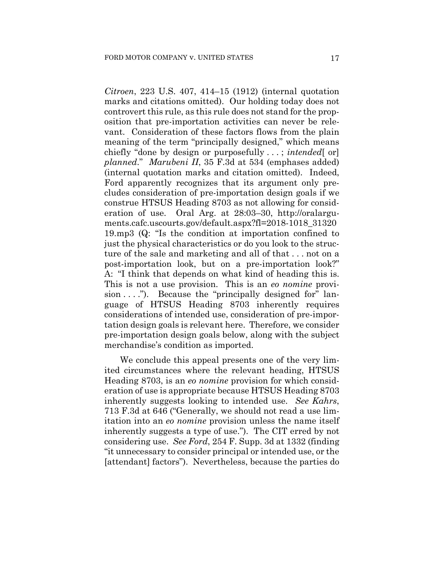*Citroen*, 223 U.S. 407, 414–15 (1912) (internal quotation marks and citations omitted). Our holding today does not controvert this rule, as this rule does not stand for the proposition that pre-importation activities can never be relevant. Consideration of these factors flows from the plain meaning of the term "principally designed," which means chiefly "done by design or purposefully . . . ; *intended*[ or] *planned*." *Marubeni II*, 35 F.3d at 534 (emphases added) (internal quotation marks and citation omitted). Indeed, Ford apparently recognizes that its argument only precludes consideration of pre-importation design goals if we construe HTSUS Heading 8703 as not allowing for consideration of use. Oral Arg. at 28:03–30, http://oralarguments.cafc.uscourts.gov/default.aspx?fl=2018-1018\_31320 19.mp3 (Q: "Is the condition at importation confined to just the physical characteristics or do you look to the structure of the sale and marketing and all of that . . . not on a post-importation look, but on a pre-importation look?" A: "I think that depends on what kind of heading this is. This is not a use provision. This is an *eo nomine* provision  $\dots$ "). Because the "principally designed for" language of HTSUS Heading 8703 inherently requires considerations of intended use, consideration of pre-importation design goals is relevant here. Therefore, we consider pre-importation design goals below, along with the subject merchandise's condition as imported.

We conclude this appeal presents one of the very limited circumstances where the relevant heading, HTSUS Heading 8703, is an *eo nomine* provision for which consideration of use is appropriate because HTSUS Heading 8703 inherently suggests looking to intended use. *See Kahrs*, 713 F.3d at 646 ("Generally, we should not read a use limitation into an *eo nomine* provision unless the name itself inherently suggests a type of use."). The CIT erred by not considering use. *See Ford*, 254 F. Supp. 3d at 1332 (finding "it unnecessary to consider principal or intended use, or the [attendant] factors"). Nevertheless, because the parties do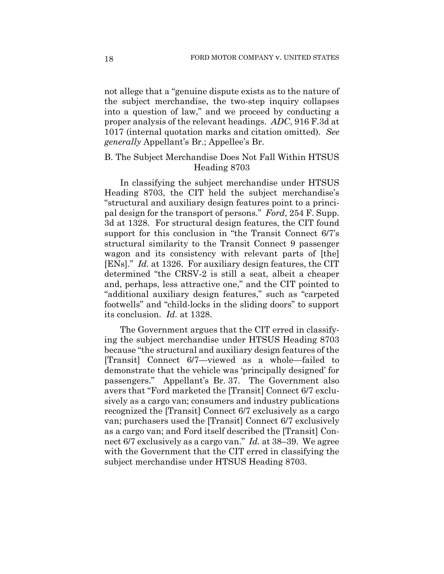not allege that a "genuine dispute exists as to the nature of the subject merchandise, the two-step inquiry collapses into a question of law," and we proceed by conducting a proper analysis of the relevant headings. *ADC*, 916 F.3d at 1017 (internal quotation marks and citation omitted). *See generally* Appellant's Br.; Appellee's Br.

## B. The Subject Merchandise Does Not Fall Within HTSUS Heading 8703

In classifying the subject merchandise under HTSUS Heading 8703, the CIT held the subject merchandise's "structural and auxiliary design features point to a principal design for the transport of persons." *Ford*, 254 F. Supp. 3d at 1328. For structural design features, the CIT found support for this conclusion in "the Transit Connect 6/7's structural similarity to the Transit Connect 9 passenger wagon and its consistency with relevant parts of [the] [ENs]." *Id.* at 1326. For auxiliary design features, the CIT determined "the CRSV-2 is still a seat, albeit a cheaper and, perhaps, less attractive one," and the CIT pointed to "additional auxiliary design features," such as "carpeted footwells" and "child-locks in the sliding doors" to support its conclusion. *Id.* at 1328.

The Government argues that the CIT erred in classifying the subject merchandise under HTSUS Heading 8703 because "the structural and auxiliary design features of the [Transit] Connect 6/7—viewed as a whole—failed to demonstrate that the vehicle was 'principally designed' for passengers." Appellant's Br. 37. The Government also avers that "Ford marketed the [Transit] Connect 6/7 exclusively as a cargo van; consumers and industry publications recognized the [Transit] Connect 6/7 exclusively as a cargo van; purchasers used the [Transit] Connect 6/7 exclusively as a cargo van; and Ford itself described the [Transit] Connect 6/7 exclusively as a cargo van." *Id.* at 38–39. We agree with the Government that the CIT erred in classifying the subject merchandise under HTSUS Heading 8703.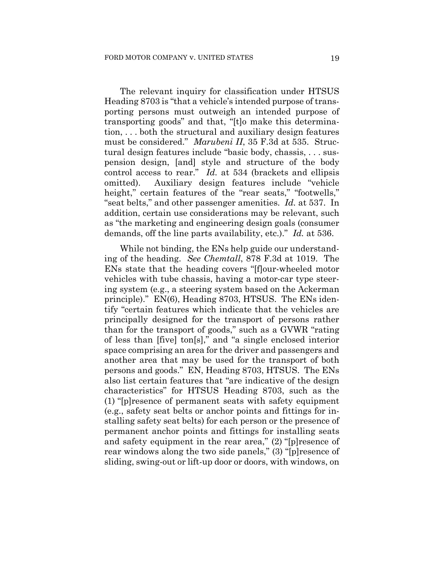The relevant inquiry for classification under HTSUS Heading 8703 is "that a vehicle's intended purpose of transporting persons must outweigh an intended purpose of transporting goods" and that, "[t]o make this determination, . . . both the structural and auxiliary design features must be considered." *Marubeni II*, 35 F.3d at 535. Structural design features include "basic body, chassis, . . . suspension design, [and] style and structure of the body control access to rear." *Id.* at 534 (brackets and ellipsis omitted). Auxiliary design features include "vehicle height," certain features of the "rear seats," "footwells," "seat belts," and other passenger amenities. *Id.* at 537. In addition, certain use considerations may be relevant, such as "the marketing and engineering design goals (consumer demands, off the line parts availability, etc.)." *Id.* at 536.

While not binding, the ENs help guide our understanding of the heading. *See Chemtall*, 878 F.3d at 1019. The ENs state that the heading covers "[f]our-wheeled motor vehicles with tube chassis, having a motor-car type steering system (e.g., a steering system based on the Ackerman principle)." EN(6), Heading 8703, HTSUS. The ENs identify "certain features which indicate that the vehicles are principally designed for the transport of persons rather than for the transport of goods," such as a GVWR "rating of less than [five] ton[s]," and "a single enclosed interior space comprising an area for the driver and passengers and another area that may be used for the transport of both persons and goods." EN, Heading 8703, HTSUS. The ENs also list certain features that "are indicative of the design characteristics" for HTSUS Heading 8703, such as the (1) "[p]resence of permanent seats with safety equipment (e.g., safety seat belts or anchor points and fittings for installing safety seat belts) for each person or the presence of permanent anchor points and fittings for installing seats and safety equipment in the rear area," (2) "[p]resence of rear windows along the two side panels," (3) "[p]resence of sliding, swing-out or lift-up door or doors, with windows, on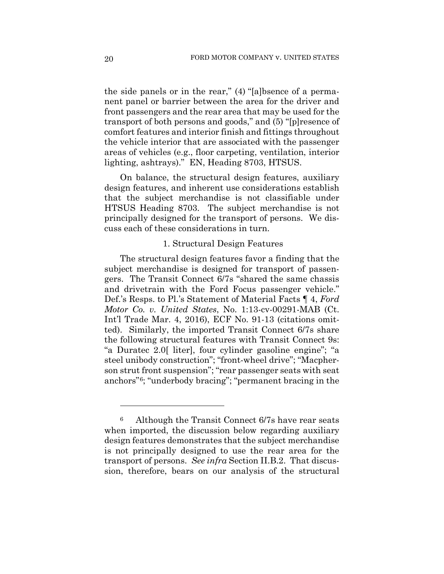the side panels or in the rear," (4) "[a]bsence of a permanent panel or barrier between the area for the driver and front passengers and the rear area that may be used for the transport of both persons and goods," and (5) "[p]resence of comfort features and interior finish and fittings throughout the vehicle interior that are associated with the passenger areas of vehicles (e.g., floor carpeting, ventilation, interior lighting, ashtrays)." EN, Heading 8703, HTSUS.

On balance, the structural design features, auxiliary design features, and inherent use considerations establish that the subject merchandise is not classifiable under HTSUS Heading 8703. The subject merchandise is not principally designed for the transport of persons. We discuss each of these considerations in turn.

## 1. Structural Design Features

The structural design features favor a finding that the subject merchandise is designed for transport of passengers. The Transit Connect 6/7s "shared the same chassis and drivetrain with the Ford Focus passenger vehicle." Def.'s Resps. to Pl.'s Statement of Material Facts ¶ 4, *Ford Motor Co. v. United States*, No. 1:13-cv-00291-MAB (Ct. Int'l Trade Mar. 4, 2016), ECF No. 91-13 (citations omitted). Similarly, the imported Transit Connect 6/7s share the following structural features with Transit Connect 9s: "a Duratec 2.0[ liter], four cylinder gasoline engine"; "a steel unibody construction"; "front-wheel drive"; "Macpherson strut front suspension"; "rear passenger seats with seat anchors"6; "underbody bracing"; "permanent bracing in the

<sup>&</sup>lt;sup>6</sup> Although the Transit Connect 6/7s have rear seats when imported, the discussion below regarding auxiliary design features demonstrates that the subject merchandise is not principally designed to use the rear area for the transport of persons. *See infra* Section II.B.2. That discussion, therefore, bears on our analysis of the structural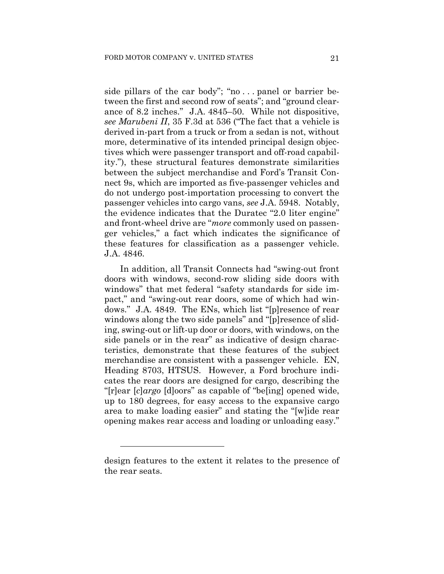side pillars of the car body"; "no . . . panel or barrier between the first and second row of seats"; and "ground clearance of 8.2 inches." J.A. 4845–50. While not dispositive, *see Marubeni II*, 35 F.3d at 536 ("The fact that a vehicle is derived in-part from a truck or from a sedan is not, without more, determinative of its intended principal design objectives which were passenger transport and off-road capability."), these structural features demonstrate similarities between the subject merchandise and Ford's Transit Connect 9s, which are imported as five-passenger vehicles and do not undergo post-importation processing to convert the passenger vehicles into cargo vans, *see* J.A. 5948. Notably, the evidence indicates that the Duratec "2.0 liter engine" and front-wheel drive are "*more* commonly used on passenger vehicles," a fact which indicates the significance of these features for classification as a passenger vehicle. J.A. 4846.

In addition, all Transit Connects had "swing-out front doors with windows, second-row sliding side doors with windows" that met federal "safety standards for side impact," and "swing-out rear doors, some of which had windows." J.A. 4849. The ENs, which list "[p]resence of rear windows along the two side panels" and "[p]resence of sliding, swing-out or lift-up door or doors, with windows, on the side panels or in the rear" as indicative of design characteristics, demonstrate that these features of the subject merchandise are consistent with a passenger vehicle. EN, Heading 8703, HTSUS. However, a Ford brochure indicates the rear doors are designed for cargo, describing the "[r]ear [*c*]*argo* [d]oors" as capable of "be[ing] opened wide, up to 180 degrees, for easy access to the expansive cargo area to make loading easier" and stating the "[w]ide rear opening makes rear access and loading or unloading easy."

design features to the extent it relates to the presence of the rear seats.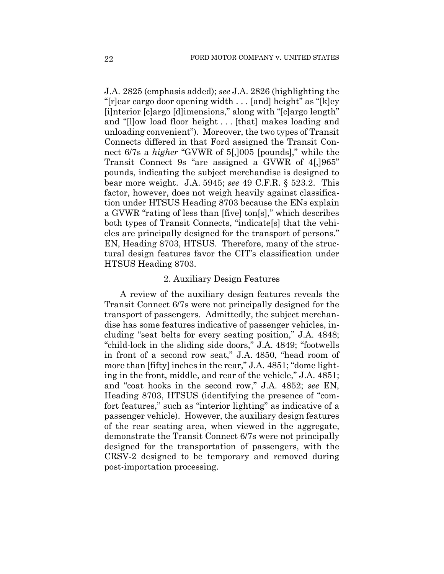J.A. 2825 (emphasis added); *see* J.A. 2826 (highlighting the "[r]ear cargo door opening width . . . [and] height" as "[k]ey [i]nterior [c]argo [d]imensions," along with "[c]argo length" and "[l]ow load floor height . . . [that] makes loading and unloading convenient"). Moreover, the two types of Transit Connects differed in that Ford assigned the Transit Connect 6/7s a *higher* "GVWR of 5[,]005 [pounds]," while the Transit Connect 9s "are assigned a GVWR of 4[,]965" pounds, indicating the subject merchandise is designed to bear more weight. J.A. 5945; *see* 49 C.F.R. § 523.2. This factor, however, does not weigh heavily against classification under HTSUS Heading 8703 because the ENs explain a GVWR "rating of less than [five] ton[s]," which describes both types of Transit Connects, "indicate[s] that the vehicles are principally designed for the transport of persons." EN, Heading 8703, HTSUS. Therefore, many of the structural design features favor the CIT's classification under HTSUS Heading 8703.

## 2. Auxiliary Design Features

A review of the auxiliary design features reveals the Transit Connect 6/7s were not principally designed for the transport of passengers. Admittedly, the subject merchandise has some features indicative of passenger vehicles, including "seat belts for every seating position," J.A. 4848; "child-lock in the sliding side doors," J.A. 4849; "footwells in front of a second row seat," J.A. 4850, "head room of more than [fifty] inches in the rear," J.A. 4851; "dome lighting in the front, middle, and rear of the vehicle," J.A. 4851; and "coat hooks in the second row," J.A. 4852; *see* EN, Heading 8703, HTSUS (identifying the presence of "comfort features," such as "interior lighting" as indicative of a passenger vehicle). However, the auxiliary design features of the rear seating area, when viewed in the aggregate, demonstrate the Transit Connect 6/7s were not principally designed for the transportation of passengers, with the CRSV-2 designed to be temporary and removed during post-importation processing.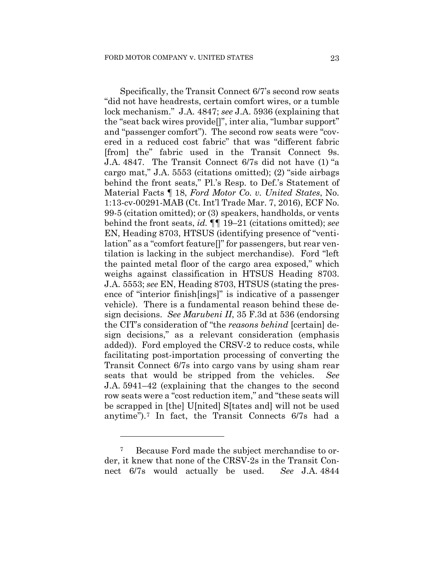Specifically, the Transit Connect 6/7's second row seats "did not have headrests, certain comfort wires, or a tumble lock mechanism." J.A. 4847; *see* J.A. 5936 (explaining that the "seat back wires provide[]", inter alia, "lumbar support" and "passenger comfort"). The second row seats were "covered in a reduced cost fabric" that was "different fabric [from] the" fabric used in the Transit Connect 9s. J.A. 4847. The Transit Connect 6/7s did not have (1) "a cargo mat," J.A. 5553 (citations omitted); (2) "side airbags behind the front seats," Pl.'s Resp. to Def.'s Statement of Material Facts ¶ 18, *Ford Motor Co. v. United States*, No. 1:13-cv-00291-MAB (Ct. Int'l Trade Mar. 7, 2016), ECF No. 99-5 (citation omitted); or (3) speakers, handholds, or vents behind the front seats, *id.* ¶¶ 19–21 (citations omitted); *see*  EN, Heading 8703, HTSUS (identifying presence of "ventilation" as a "comfort feature[]" for passengers, but rear ventilation is lacking in the subject merchandise). Ford "left the painted metal floor of the cargo area exposed," which weighs against classification in HTSUS Heading 8703. J.A. 5553; *see* EN, Heading 8703, HTSUS (stating the presence of "interior finish[ings]" is indicative of a passenger vehicle). There is a fundamental reason behind these design decisions. *See Marubeni II*, 35 F.3d at 536 (endorsing the CIT's consideration of "the *reasons behind* [certain] design decisions," as a relevant consideration (emphasis added)). Ford employed the CRSV-2 to reduce costs, while facilitating post-importation processing of converting the Transit Connect 6/7s into cargo vans by using sham rear seats that would be stripped from the vehicles. *See* J.A. 5941–42 (explaining that the changes to the second row seats were a "cost reduction item," and "these seats will be scrapped in [the] U[nited] S[tates and] will not be used anytime").7 In fact, the Transit Connects 6/7s had a

<sup>7</sup> Because Ford made the subject merchandise to order, it knew that none of the CRSV-2s in the Transit Connect 6/7s would actually be used. *See* J.A. 4844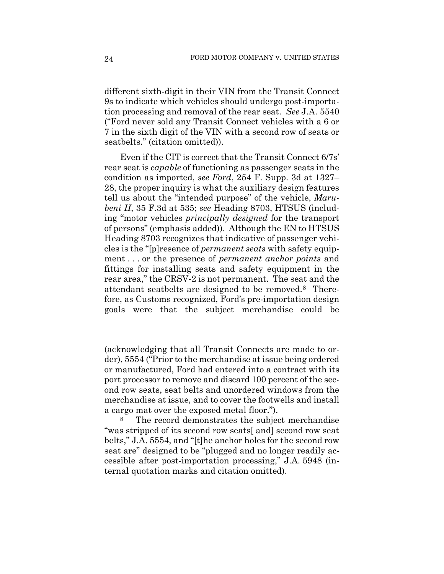different sixth-digit in their VIN from the Transit Connect 9s to indicate which vehicles should undergo post-importation processing and removal of the rear seat. *See* J.A. 5540 ("Ford never sold any Transit Connect vehicles with a 6 or 7 in the sixth digit of the VIN with a second row of seats or seatbelts." (citation omitted)).

Even if the CIT is correct that the Transit Connect 6/7s' rear seat is *capable* of functioning as passenger seats in the condition as imported, *see Ford*, 254 F. Supp. 3d at 1327– 28, the proper inquiry is what the auxiliary design features tell us about the "intended purpose" of the vehicle, *Marubeni II*, 35 F.3d at 535; *see* Heading 8703, HTSUS (including "motor vehicles *principally designed* for the transport of persons" (emphasis added)). Although the EN to HTSUS Heading 8703 recognizes that indicative of passenger vehicles is the "[p]resence of *permanent seats* with safety equipment . . . or the presence of *permanent anchor points* and fittings for installing seats and safety equipment in the rear area," the CRSV-2 is not permanent. The seat and the attendant seatbelts are designed to be removed.8 Therefore, as Customs recognized, Ford's pre-importation design goals were that the subject merchandise could be

<sup>(</sup>acknowledging that all Transit Connects are made to order), 5554 ("Prior to the merchandise at issue being ordered or manufactured, Ford had entered into a contract with its port processor to remove and discard 100 percent of the second row seats, seat belts and unordered windows from the merchandise at issue, and to cover the footwells and install a cargo mat over the exposed metal floor.").<br><sup>8</sup> The record demonstrates the subject merchandise

<sup>&</sup>quot;was stripped of its second row seats[ and] second row seat belts," J.A. 5554, and "[t]he anchor holes for the second row seat are" designed to be "plugged and no longer readily accessible after post-importation processing," J.A. 5948 (internal quotation marks and citation omitted).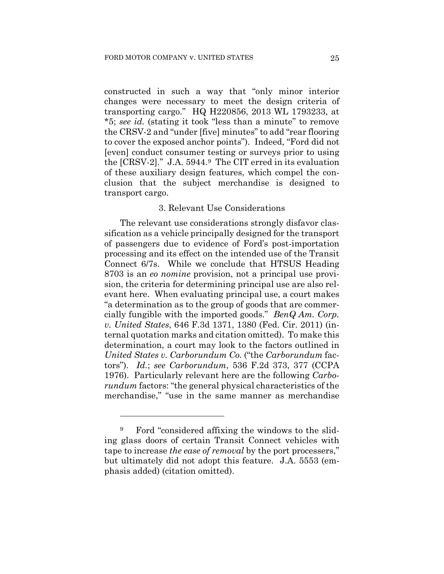constructed in such a way that "only minor interior changes were necessary to meet the design criteria of transporting cargo." HQ H220856, 2013 WL 1793233, at \*5; *see id.* (stating it took "less than a minute" to remove the CRSV-2 and "under [five] minutes" to add "rear flooring to cover the exposed anchor points"). Indeed, "Ford did not [even] conduct consumer testing or surveys prior to using the [CRSV-2]." J.A. 5944.9 The CIT erred in its evaluation of these auxiliary design features, which compel the conclusion that the subject merchandise is designed to transport cargo.

## 3. Relevant Use Considerations

The relevant use considerations strongly disfavor classification as a vehicle principally designed for the transport of passengers due to evidence of Ford's post-importation processing and its effect on the intended use of the Transit Connect 6/7s. While we conclude that HTSUS Heading 8703 is an *eo nomine* provision, not a principal use provision, the criteria for determining principal use are also relevant here. When evaluating principal use, a court makes "a determination as to the group of goods that are commercially fungible with the imported goods." *BenQ Am. Corp. v. United States*, 646 F.3d 1371, 1380 (Fed. Cir. 2011) (internal quotation marks and citation omitted). To make this determination, a court may look to the factors outlined in *United States v. Carborundum Co.* ("the *Carborundum* factors"). *Id.*; *see Carborundum*, 536 F.2d 373, 377 (CCPA 1976). Particularly relevant here are the following *Carborundum* factors: "the general physical characteristics of the merchandise," "use in the same manner as merchandise

<sup>9</sup> Ford "considered affixing the windows to the sliding glass doors of certain Transit Connect vehicles with tape to increase *the ease of removal* by the port processers," but ultimately did not adopt this feature. J.A. 5553 (emphasis added) (citation omitted).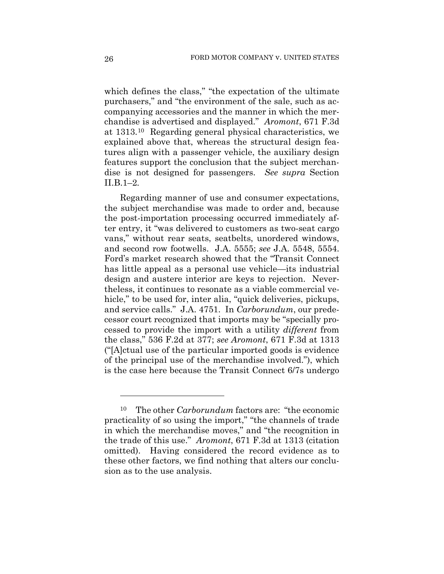which defines the class," "the expectation of the ultimate purchasers," and "the environment of the sale, such as accompanying accessories and the manner in which the merchandise is advertised and displayed." *Aromont*, 671 F.3d at 1313.10 Regarding general physical characteristics, we explained above that, whereas the structural design features align with a passenger vehicle, the auxiliary design features support the conclusion that the subject merchandise is not designed for passengers. *See supra* Section II.B.1–2*.*

Regarding manner of use and consumer expectations, the subject merchandise was made to order and, because the post-importation processing occurred immediately after entry, it "was delivered to customers as two-seat cargo vans," without rear seats, seatbelts, unordered windows, and second row footwells. J.A. 5555; *see* J.A. 5548, 5554. Ford's market research showed that the "Transit Connect has little appeal as a personal use vehicle—its industrial design and austere interior are keys to rejection. Nevertheless, it continues to resonate as a viable commercial vehicle," to be used for, inter alia, "quick deliveries, pickups, and service calls." J.A. 4751. In *Carborundum*, our predecessor court recognized that imports may be "specially processed to provide the import with a utility *different* from the class," 536 F.2d at 377; *see Aromont*, 671 F.3d at 1313 ("[A]ctual use of the particular imported goods is evidence of the principal use of the merchandise involved."), which is the case here because the Transit Connect 6/7s undergo

The other *Carborundum* factors are: "the economic practicality of so using the import," "the channels of trade in which the merchandise moves," and "the recognition in the trade of this use." *Aromont*, 671 F.3d at 1313 (citation omitted). Having considered the record evidence as to these other factors, we find nothing that alters our conclusion as to the use analysis.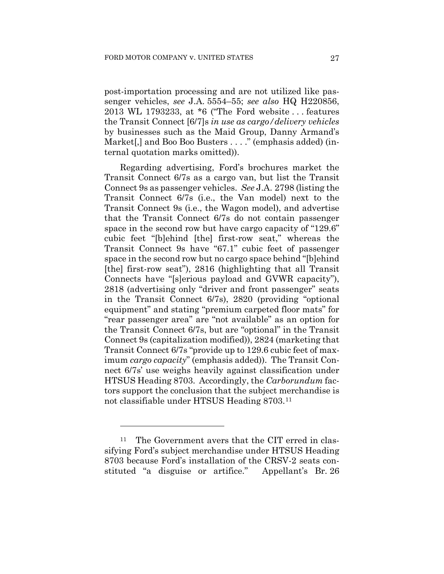post-importation processing and are not utilized like passenger vehicles, *see* J.A. 5554–55; *see also* HQ H220856, 2013 WL 1793233, at \*6 ("The Ford website . . . features the Transit Connect [6/7]s *in use as cargo/delivery vehicles* by businesses such as the Maid Group, Danny Armand's Market[,] and Boo Boo Busters . . . ." (emphasis added) (internal quotation marks omitted)).

Regarding advertising, Ford's brochures market the Transit Connect 6/7s as a cargo van, but list the Transit Connect 9s as passenger vehicles. *See* J.A. 2798 (listing the Transit Connect 6/7s (i.e., the Van model) next to the Transit Connect 9s (i.e., the Wagon model), and advertise that the Transit Connect 6/7s do not contain passenger space in the second row but have cargo capacity of "129.6" cubic feet "[b]ehind [the] first-row seat," whereas the Transit Connect 9s have "67.1" cubic feet of passenger space in the second row but no cargo space behind "[b]ehind [the] first-row seat"), 2816 (highlighting that all Transit Connects have "[s]erious payload and GVWR capacity"), 2818 (advertising only "driver and front passenger" seats in the Transit Connect 6/7s), 2820 (providing "optional equipment" and stating "premium carpeted floor mats" for "rear passenger area" are "not available" as an option for the Transit Connect 6/7s, but are "optional" in the Transit Connect 9s (capitalization modified)), 2824 (marketing that Transit Connect 6/7s "provide up to 129.6 cubic feet of maximum *cargo capacity*" (emphasis added)). The Transit Connect 6/7s' use weighs heavily against classification under HTSUS Heading 8703. Accordingly, the *Carborundum* factors support the conclusion that the subject merchandise is not classifiable under HTSUS Heading 8703.11

The Government avers that the CIT erred in classifying Ford's subject merchandise under HTSUS Heading 8703 because Ford's installation of the CRSV-2 seats constituted "a disguise or artifice." Appellant's Br. 26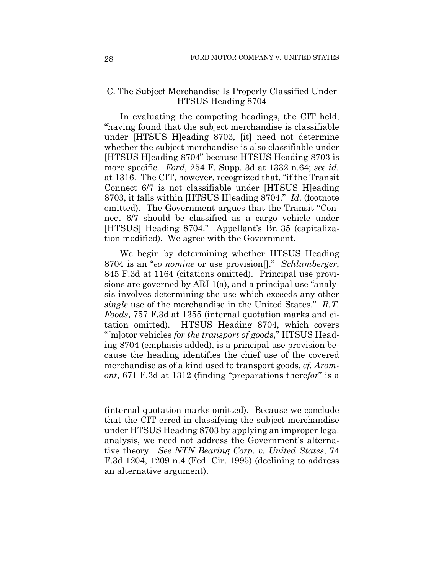## C. The Subject Merchandise Is Properly Classified Under HTSUS Heading 8704

In evaluating the competing headings, the CIT held, "having found that the subject merchandise is classifiable under [HTSUS H]eading 8703, [it] need not determine whether the subject merchandise is also classifiable under [HTSUS H]eading 8704" because HTSUS Heading 8703 is more specific. *Ford*, 254 F. Supp. 3d at 1332 n.64; *see id.* at 1316. The CIT, however, recognized that, "if the Transit Connect 6/7 is not classifiable under [HTSUS H]eading 8703, it falls within [HTSUS H]eading 8704." *Id.* (footnote omitted). The Government argues that the Transit "Connect 6/7 should be classified as a cargo vehicle under [HTSUS] Heading 8704." Appellant's Br. 35 (capitalization modified). We agree with the Government.

We begin by determining whether HTSUS Heading 8704 is an "*eo nomine* or use provision[]." *Schlumberger*, 845 F.3d at 1164 (citations omitted). Principal use provisions are governed by ARI 1(a), and a principal use "analysis involves determining the use which exceeds any other *single* use of the merchandise in the United States." *R.T. Foods*, 757 F.3d at 1355 (internal quotation marks and citation omitted). HTSUS Heading 8704, which covers "[m]otor vehicles *for the transport of goods*," HTSUS Heading 8704 (emphasis added), is a principal use provision because the heading identifies the chief use of the covered merchandise as of a kind used to transport goods, *cf. Aromont*, 671 F.3d at 1312 (finding "preparations there*for*" is a

<sup>(</sup>internal quotation marks omitted). Because we conclude that the CIT erred in classifying the subject merchandise under HTSUS Heading 8703 by applying an improper legal analysis, we need not address the Government's alternative theory. *See NTN Bearing Corp. v. United States*, 74 F.3d 1204, 1209 n.4 (Fed. Cir. 1995) (declining to address an alternative argument).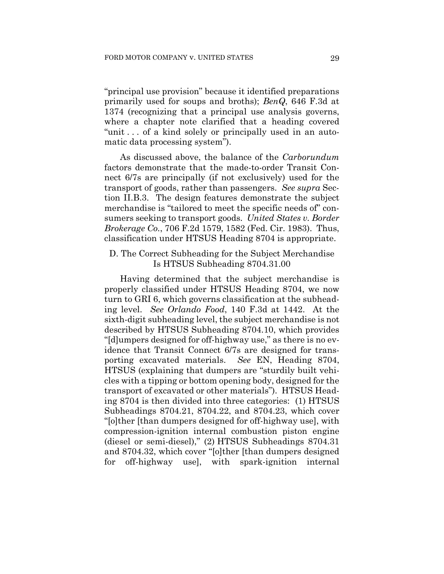"principal use provision" because it identified preparations primarily used for soups and broths); *BenQ*, 646 F.3d at 1374 (recognizing that a principal use analysis governs, where a chapter note clarified that a heading covered "unit . . . of a kind solely or principally used in an automatic data processing system").

As discussed above, the balance of the *Carborundum*  factors demonstrate that the made-to-order Transit Connect 6/7s are principally (if not exclusively) used for the transport of goods, rather than passengers. *See supra* Section II.B.3. The design features demonstrate the subject merchandise is "tailored to meet the specific needs of" consumers seeking to transport goods. *United States v. Border Brokerage Co.*, 706 F.2d 1579, 1582 (Fed. Cir. 1983). Thus, classification under HTSUS Heading 8704 is appropriate.

D. The Correct Subheading for the Subject Merchandise Is HTSUS Subheading 8704.31.00

Having determined that the subject merchandise is properly classified under HTSUS Heading 8704, we now turn to GRI 6, which governs classification at the subheading level. *See Orlando Food*, 140 F.3d at 1442. At the sixth-digit subheading level, the subject merchandise is not described by HTSUS Subheading 8704.10, which provides "[d]umpers designed for off-highway use," as there is no evidence that Transit Connect 6/7s are designed for transporting excavated materials. *See* EN, Heading 8704, HTSUS (explaining that dumpers are "sturdily built vehicles with a tipping or bottom opening body, designed for the transport of excavated or other materials"). HTSUS Heading 8704 is then divided into three categories: (1) HTSUS Subheadings 8704.21, 8704.22, and 8704.23, which cover "[o]ther [than dumpers designed for off-highway use], with compression-ignition internal combustion piston engine (diesel or semi-diesel)," (2) HTSUS Subheadings 8704.31 and 8704.32, which cover "[o]ther [than dumpers designed for off-highway use], with spark-ignition internal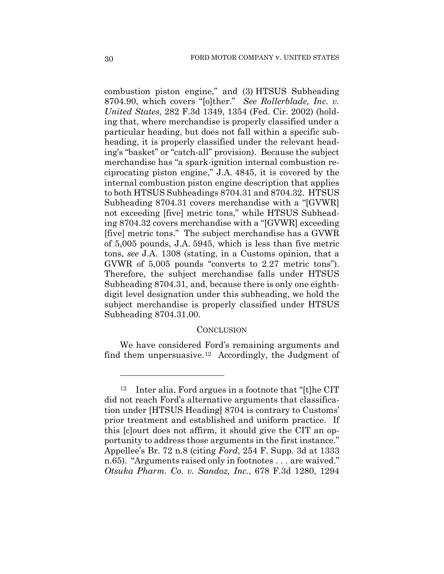combustion piston engine," and (3) HTSUS Subheading 8704.90, which covers "[o]ther." *See Rollerblade, Inc. v. United States*, 282 F.3d 1349, 1354 (Fed. Cir. 2002) (holding that, where merchandise is properly classified under a particular heading, but does not fall within a specific subheading, it is properly classified under the relevant heading's "basket" or "catch-all" provision). Because the subject merchandise has "a spark-ignition internal combustion reciprocating piston engine," J.A. 4845, it is covered by the internal combustion piston engine description that applies to both HTSUS Subheadings 8704.31 and 8704.32. HTSUS Subheading 8704.31 covers merchandise with a "[GVWR] not exceeding [five] metric tons," while HTSUS Subheading 8704.32 covers merchandise with a "[GVWR] exceeding [five] metric tons." The subject merchandise has a GVWR of 5,005 pounds, J.A. 5945, which is less than five metric tons, *see* J.A. 1308 (stating, in a Customs opinion, that a GVWR of 5,005 pounds "converts to 2.27 metric tons"). Therefore, the subject merchandise falls under HTSUS Subheading 8704.31, and, because there is only one eighthdigit level designation under this subheading, we hold the subject merchandise is properly classified under HTSUS Subheading 8704.31.00.

#### **CONCLUSION**

We have considered Ford's remaining arguments and find them unpersuasive.<sup>12</sup> Accordingly, the Judgment of

<sup>12</sup> Inter alia, Ford argues in a footnote that "[t]he CIT did not reach Ford's alternative arguments that classification under [HTSUS Heading] 8704 is contrary to Customs' prior treatment and established and uniform practice. If this [c]ourt does not affirm, it should give the CIT an opportunity to address those arguments in the first instance." Appellee's Br. 72 n.8 (citing *Ford*, 254 F. Supp. 3d at 1333 n.65)."Arguments raised only in footnotes . . . are waived." *Otsuka Pharm. Co. v. Sandoz, Inc.*, 678 F.3d 1280, 1294